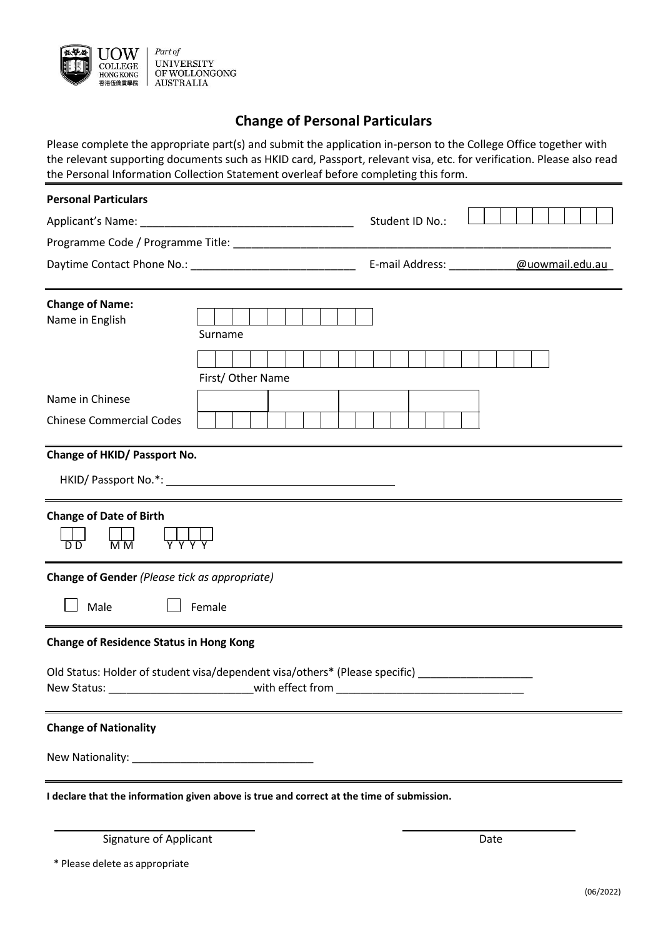

## **Change of Personal Particulars**

Please complete the appropriate part(s) and submit the application in-person to the College Office together with the relevant supporting documents such as HKID card, Passport, relevant visa, etc. for verification. Please also read the Personal Information Collection Statement overleaf before completing this form.

| <b>Personal Particulars</b>                    |                                                                                           |
|------------------------------------------------|-------------------------------------------------------------------------------------------|
|                                                | Student ID No.:                                                                           |
|                                                |                                                                                           |
|                                                | E-mail Address: @uowmail.edu.au                                                           |
|                                                |                                                                                           |
| <b>Change of Name:</b><br>Name in English      |                                                                                           |
|                                                | Surname                                                                                   |
|                                                |                                                                                           |
|                                                | First/ Other Name                                                                         |
| Name in Chinese                                |                                                                                           |
| <b>Chinese Commercial Codes</b>                |                                                                                           |
|                                                |                                                                                           |
| Change of HKID/ Passport No.                   |                                                                                           |
|                                                |                                                                                           |
|                                                |                                                                                           |
| <b>Change of Date of Birth</b>                 |                                                                                           |
| D D<br>$\overline{M}$ M                        |                                                                                           |
|                                                |                                                                                           |
| Change of Gender (Please tick as appropriate)  |                                                                                           |
|                                                |                                                                                           |
| Male                                           | Female                                                                                    |
| <b>Change of Residence Status in Hong Kong</b> |                                                                                           |
|                                                | Old Status: Holder of student visa/dependent visa/others* (Please specific) ________      |
|                                                | New Status: _________________________________with effect from __________________          |
|                                                |                                                                                           |
| <b>Change of Nationality</b>                   |                                                                                           |
|                                                |                                                                                           |
|                                                |                                                                                           |
|                                                | I declare that the information given above is true and correct at the time of submission. |
|                                                |                                                                                           |
| <b>Signature of Applicant</b>                  | Date                                                                                      |

\* Please delete as appropriate